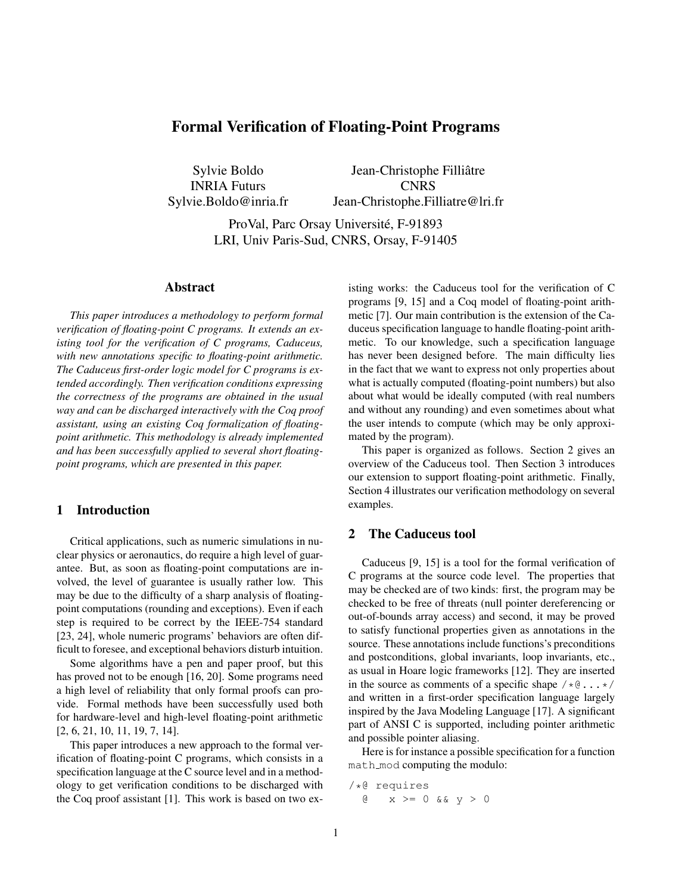# Formal Verification of Floating-Point Programs

Sylvie Boldo INRIA Futurs Sylvie.Boldo@inria.fr

Jean-Christophe Filliâtre **CNRS** Jean-Christophe.Filliatre@lri.fr

ProVal, Parc Orsay Université, F-91893 LRI, Univ Paris-Sud, CNRS, Orsay, F-91405

### Abstract

*This paper introduces a methodology to perform formal verification of floating-point C programs. It extends an existing tool for the verification of C programs, Caduceus, with new annotations specific to floating-point arithmetic. The Caduceus first-order logic model for C programs is extended accordingly. Then verification conditions expressing the correctness of the programs are obtained in the usual way and can be discharged interactively with the Coq proof assistant, using an existing Coq formalization of floatingpoint arithmetic. This methodology is already implemented and has been successfully applied to several short floatingpoint programs, which are presented in this paper.*

### 1 Introduction

Critical applications, such as numeric simulations in nuclear physics or aeronautics, do require a high level of guarantee. But, as soon as floating-point computations are involved, the level of guarantee is usually rather low. This may be due to the difficulty of a sharp analysis of floatingpoint computations (rounding and exceptions). Even if each step is required to be correct by the IEEE-754 standard [23, 24], whole numeric programs' behaviors are often difficult to foresee, and exceptional behaviors disturb intuition.

Some algorithms have a pen and paper proof, but this has proved not to be enough [16, 20]. Some programs need a high level of reliability that only formal proofs can provide. Formal methods have been successfully used both for hardware-level and high-level floating-point arithmetic [2, 6, 21, 10, 11, 19, 7, 14].

This paper introduces a new approach to the formal verification of floating-point C programs, which consists in a specification language at the C source level and in a methodology to get verification conditions to be discharged with the Coq proof assistant [1]. This work is based on two existing works: the Caduceus tool for the verification of C programs [9, 15] and a Coq model of floating-point arithmetic [7]. Our main contribution is the extension of the Caduceus specification language to handle floating-point arithmetic. To our knowledge, such a specification language has never been designed before. The main difficulty lies in the fact that we want to express not only properties about what is actually computed (floating-point numbers) but also about what would be ideally computed (with real numbers and without any rounding) and even sometimes about what the user intends to compute (which may be only approximated by the program).

This paper is organized as follows. Section 2 gives an overview of the Caduceus tool. Then Section 3 introduces our extension to support floating-point arithmetic. Finally, Section 4 illustrates our verification methodology on several examples.

## 2 The Caduceus tool

Caduceus [9, 15] is a tool for the formal verification of C programs at the source code level. The properties that may be checked are of two kinds: first, the program may be checked to be free of threats (null pointer dereferencing or out-of-bounds array access) and second, it may be proved to satisfy functional properties given as annotations in the source. These annotations include functions's preconditions and postconditions, global invariants, loop invariants, etc., as usual in Hoare logic frameworks [12]. They are inserted in the source as comments of a specific shape  $/\star \mathcal{C}$ ... $\star$ / and written in a first-order specification language largely inspired by the Java Modeling Language [17]. A significant part of ANSI C is supported, including pointer arithmetic and possible pointer aliasing.

Here is for instance a possible specification for a function math mod computing the modulo:

```
/*@ requires
 @ x >= 0 && y > 0
```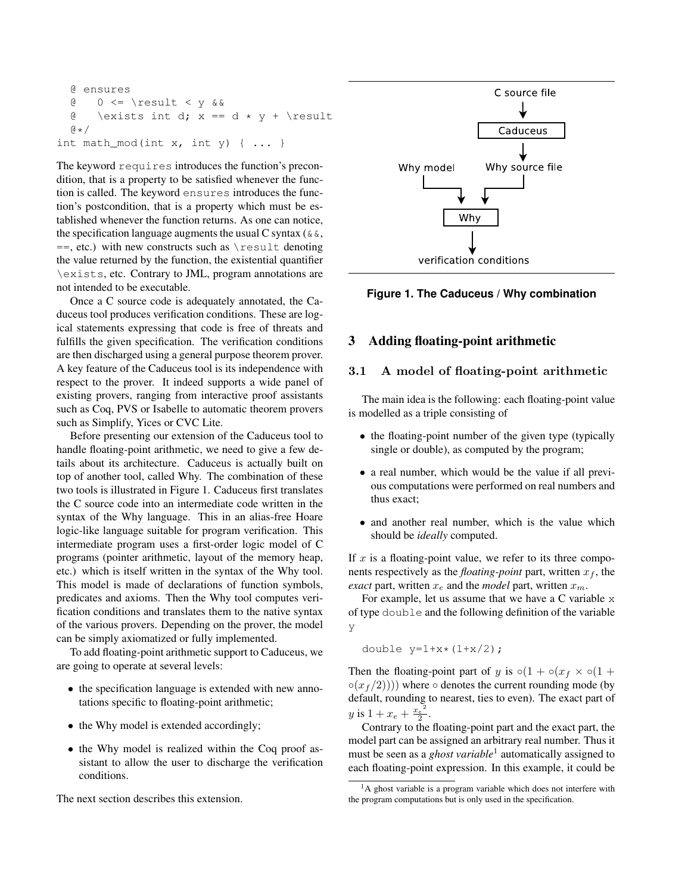```
@ ensures
  \theta 0 <= \result < y &&
  \theta \exists int d; x == d * y + \result
  @*/
int math_mod(int x, int y) { \dots }
```
The keyword requires introduces the function's precondition, that is a property to be satisfied whenever the function is called. The keyword ensures introduces the function's postcondition, that is a property which must be established whenever the function returns. As one can notice, the specification language augments the usual C syntax ( $\&\&$ ,  $==$ , etc.) with new constructs such as \result denoting the value returned by the function, the existential quantifier \exists, etc. Contrary to JML, program annotations are not intended to be executable.

Once a C source code is adequately annotated, the Caduceus tool produces verification conditions. These are logical statements expressing that code is free of threats and fulfills the given specification. The verification conditions are then discharged using a general purpose theorem prover. A key feature of the Caduceus tool is its independence with respect to the prover. It indeed supports a wide panel of existing provers, ranging from interactive proof assistants such as Coq, PVS or Isabelle to automatic theorem provers such as Simplify, Yices or CVC Lite.

Before presenting our extension of the Caduceus tool to handle floating-point arithmetic, we need to give a few details about its architecture. Caduceus is actually built on top of another tool, called Why. The combination of these two tools is illustrated in Figure 1. Caduceus first translates the C source code into an intermediate code written in the syntax of the Why language. This in an alias-free Hoare logic-like language suitable for program verification. This intermediate program uses a first-order logic model of C programs (pointer arithmetic, layout of the memory heap, etc.) which is itself written in the syntax of the Why tool. This model is made of declarations of function symbols, predicates and axioms. Then the Why tool computes verification conditions and translates them to the native syntax of the various provers. Depending on the prover, the model can be simply axiomatized or fully implemented.

To add floating-point arithmetic support to Caduceus, we are going to operate at several levels:

- the specification language is extended with new annotations specific to floating-point arithmetic;
- the Why model is extended accordingly;
- the Why model is realized within the Coq proof assistant to allow the user to discharge the verification conditions.

The next section describes this extension.



**Figure 1. The Caduceus / Why combination**

### 3 Adding floating-point arithmetic

## 3.1 A model of floating-point arithmetic

The main idea is the following: each floating-point value is modelled as a triple consisting of

- the floating-point number of the given type (typically single or double), as computed by the program;
- a real number, which would be the value if all previous computations were performed on real numbers and thus exact;
- and another real number, which is the value which should be *ideally* computed.

If  $x$  is a floating-point value, we refer to its three components respectively as the *floating-point* part, written  $x_f$ , the *exact* part, written  $x_e$  and the *model* part, written  $x_m$ .

For example, let us assume that we have a C variable x of type double and the following definition of the variable y

double  $y=1+x*(1+x/2)$ ;

Then the floating-point part of y is  $\circ(1 + \circ(x_f \times \circ(1 +$  $\circ(x_f /2))$ )) where  $\circ$  denotes the current rounding mode (by default, rounding to nearest, ties to even). The exact part of y is  $1 + x_e + \frac{x_e^2}{2}$  $\frac{e}{2}$ .

Contrary to the floating-point part and the exact part, the model part can be assigned an arbitrary real number. Thus it must be seen as a *ghost variable*<sup>1</sup> automatically assigned to each floating-point expression. In this example, it could be

 $<sup>1</sup>A$  ghost variable is a program variable which does not interfere with</sup> the program computations but is only used in the specification.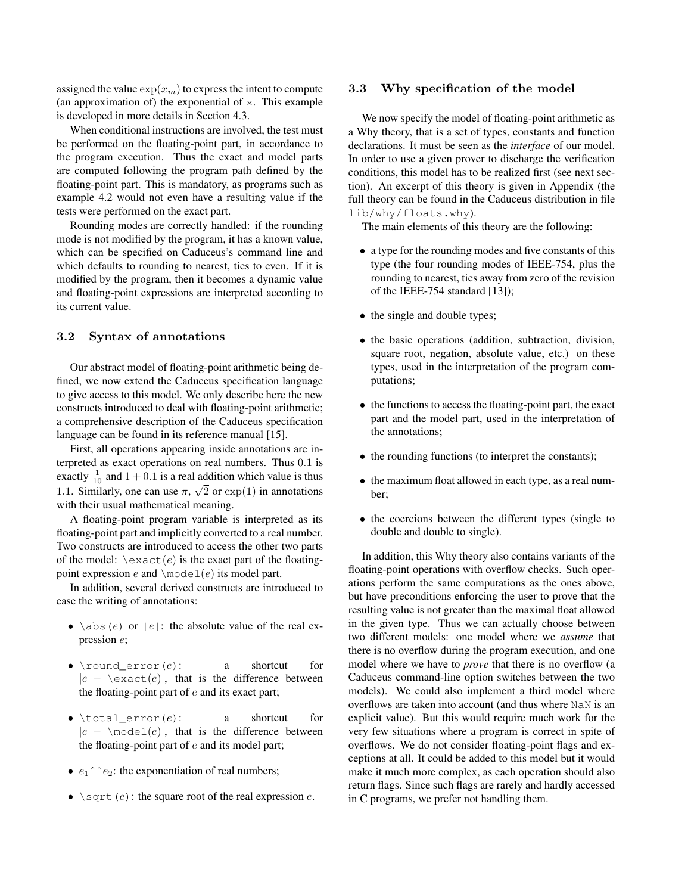assigned the value  $\exp(x_m)$  to express the intent to compute (an approximation of) the exponential of x. This example is developed in more details in Section 4.3.

When conditional instructions are involved, the test must be performed on the floating-point part, in accordance to the program execution. Thus the exact and model parts are computed following the program path defined by the floating-point part. This is mandatory, as programs such as example 4.2 would not even have a resulting value if the tests were performed on the exact part.

Rounding modes are correctly handled: if the rounding mode is not modified by the program, it has a known value, which can be specified on Caduceus's command line and which defaults to rounding to nearest, ties to even. If it is modified by the program, then it becomes a dynamic value and floating-point expressions are interpreted according to its current value.

#### 3.2 Syntax of annotations

Our abstract model of floating-point arithmetic being defined, we now extend the Caduceus specification language to give access to this model. We only describe here the new constructs introduced to deal with floating-point arithmetic; a comprehensive description of the Caduceus specification language can be found in its reference manual [15].

First, all operations appearing inside annotations are interpreted as exact operations on real numbers. Thus 0.1 is exactly  $\frac{1}{10}$  and  $1 + 0.1$  is a real addition which value is thus 1.1. Similarly, one can use  $\pi$ ,  $\sqrt{2}$  or  $\exp(1)$  in annotations with their usual mathematical meaning.

A floating-point program variable is interpreted as its floating-point part and implicitly converted to a real number. Two constructs are introduced to access the other two parts of the model:  $\text{exact}(e)$  is the exact part of the floatingpoint expression  $e$  and  $\mod 1(e)$  its model part.

In addition, several derived constructs are introduced to ease the writing of annotations:

- \abs(e) or  $|e|$ : the absolute value of the real expression e;
- \round\_error(e):  $a$  shortcut for  $|e - \text{exact}(e)|$ , that is the difference between the floating-point part of  $e$  and its exact part;
- \total error(e):  $a$  shortcut for  $|e - \mathsf{model}(e)|$ , that is the difference between the floating-point part of  $e$  and its model part;
- $e_1 \, \hat{\ } \, e_2$ : the exponentiation of real numbers;
- $\sqrt{\sqrt{e}}$ : the square root of the real expression e.

#### 3.3 Why specification of the model

We now specify the model of floating-point arithmetic as a Why theory, that is a set of types, constants and function declarations. It must be seen as the *interface* of our model. In order to use a given prover to discharge the verification conditions, this model has to be realized first (see next section). An excerpt of this theory is given in Appendix (the full theory can be found in the Caduceus distribution in file lib/why/floats.why).

The main elements of this theory are the following:

- a type for the rounding modes and five constants of this type (the four rounding modes of IEEE-754, plus the rounding to nearest, ties away from zero of the revision of the IEEE-754 standard [13]);
- the single and double types;
- the basic operations (addition, subtraction, division, square root, negation, absolute value, etc.) on these types, used in the interpretation of the program computations;
- the functions to access the floating-point part, the exact part and the model part, used in the interpretation of the annotations;
- the rounding functions (to interpret the constants);
- the maximum float allowed in each type, as a real number;
- the coercions between the different types (single to double and double to single).

In addition, this Why theory also contains variants of the floating-point operations with overflow checks. Such operations perform the same computations as the ones above, but have preconditions enforcing the user to prove that the resulting value is not greater than the maximal float allowed in the given type. Thus we can actually choose between two different models: one model where we *assume* that there is no overflow during the program execution, and one model where we have to *prove* that there is no overflow (a Caduceus command-line option switches between the two models). We could also implement a third model where overflows are taken into account (and thus where NaN is an explicit value). But this would require much work for the very few situations where a program is correct in spite of overflows. We do not consider floating-point flags and exceptions at all. It could be added to this model but it would make it much more complex, as each operation should also return flags. Since such flags are rarely and hardly accessed in C programs, we prefer not handling them.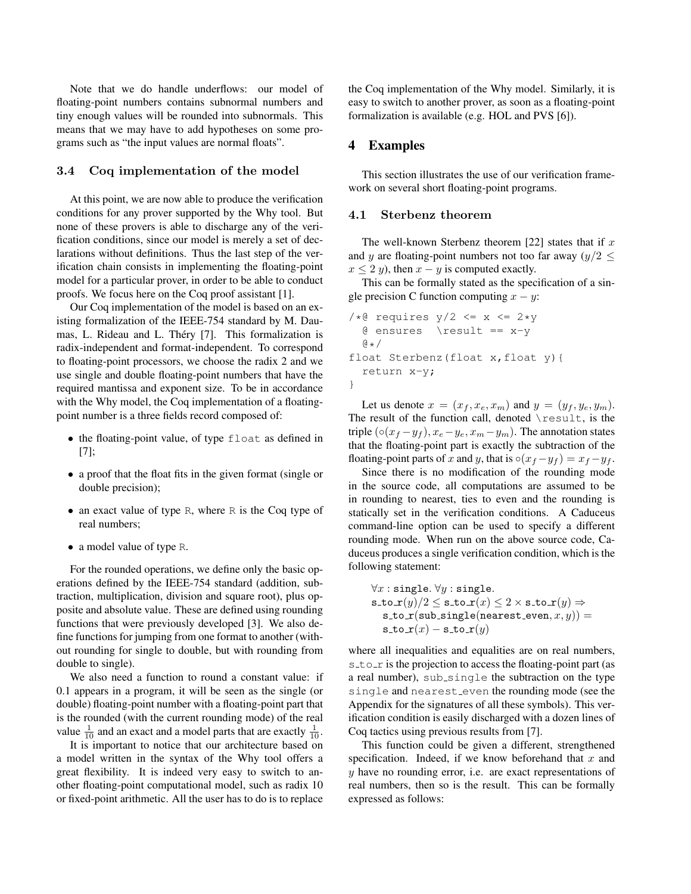Note that we do handle underflows: our model of floating-point numbers contains subnormal numbers and tiny enough values will be rounded into subnormals. This means that we may have to add hypotheses on some programs such as "the input values are normal floats".

#### 3.4 Coq implementation of the model

At this point, we are now able to produce the verification conditions for any prover supported by the Why tool. But none of these provers is able to discharge any of the verification conditions, since our model is merely a set of declarations without definitions. Thus the last step of the verification chain consists in implementing the floating-point model for a particular prover, in order to be able to conduct proofs. We focus here on the Coq proof assistant [1].

Our Coq implementation of the model is based on an existing formalization of the IEEE-754 standard by M. Daumas, L. Rideau and L. Théry [7]. This formalization is radix-independent and format-independent. To correspond to floating-point processors, we choose the radix 2 and we use single and double floating-point numbers that have the required mantissa and exponent size. To be in accordance with the Why model, the Coq implementation of a floatingpoint number is a three fields record composed of:

- the floating-point value, of type float as defined in [7];
- a proof that the float fits in the given format (single or double precision);
- an exact value of type R, where R is the Coq type of real numbers;
- a model value of type R.

For the rounded operations, we define only the basic operations defined by the IEEE-754 standard (addition, subtraction, multiplication, division and square root), plus opposite and absolute value. These are defined using rounding functions that were previously developed [3]. We also define functions for jumping from one format to another (without rounding for single to double, but with rounding from double to single).

We also need a function to round a constant value: if 0.1 appears in a program, it will be seen as the single (or double) floating-point number with a floating-point part that is the rounded (with the current rounding mode) of the real value  $\frac{1}{10}$  and an exact and a model parts that are exactly  $\frac{1}{10}$ .

It is important to notice that our architecture based on a model written in the syntax of the Why tool offers a great flexibility. It is indeed very easy to switch to another floating-point computational model, such as radix 10 or fixed-point arithmetic. All the user has to do is to replace the Coq implementation of the Why model. Similarly, it is easy to switch to another prover, as soon as a floating-point formalization is available (e.g. HOL and PVS [6]).

#### 4 Examples

This section illustrates the use of our verification framework on several short floating-point programs.

#### 4.1 Sterbenz theorem

The well-known Sterbenz theorem [22] states that if  $x$ and y are floating-point numbers not too far away ( $y/2 \le$  $x \leq 2$  y), then  $x - y$  is computed exactly.

This can be formally stated as the specification of a single precision C function computing  $x - y$ :

```
/\star@ requires y/2 \le x \le 2 \star y@ ensures \result == x-y
  \theta \star /float Sterbenz(float x, float y) {
  return x-y;
}
```
Let us denote  $x = (x_f, x_e, x_m)$  and  $y = (y_f, y_e, y_m)$ . The result of the function call, denoted \result, is the triple (∘ $(x_f - y_f)$ ,  $x_e - y_e$ ,  $x_m - y_m$ ). The annotation states that the floating-point part is exactly the subtraction of the floating-point parts of x and y, that is  $\circ(x_f - y_f) = x_f - y_f$ .

Since there is no modification of the rounding mode in the source code, all computations are assumed to be in rounding to nearest, ties to even and the rounding is statically set in the verification conditions. A Caduceus command-line option can be used to specify a different rounding mode. When run on the above source code, Caduceus produces a single verification condition, which is the following statement:

$$
\forall x: \mathtt{single.}~ \forall y: \mathtt{single.} \\ \mathtt{s_to_r}(y)/2 \leq \mathtt{s_to_r}(x) \leq 2 \times \mathtt{s_to_r}(y) \Rightarrow \\ \mathtt{s_to_r}(\mathtt{sub\_single}(\text{nearest\_even}, x, y)) = \\ \mathtt{s_to_r}(x) - \mathtt{s_to_r}(y)
$$

where all inequalities and equalities are on real numbers, s to r is the projection to access the floating-point part (as a real number), sub single the subtraction on the type single and nearest even the rounding mode (see the Appendix for the signatures of all these symbols). This verification condition is easily discharged with a dozen lines of Coq tactics using previous results from [7].

This function could be given a different, strengthened specification. Indeed, if we know beforehand that  $x$  and y have no rounding error, i.e. are exact representations of real numbers, then so is the result. This can be formally expressed as follows: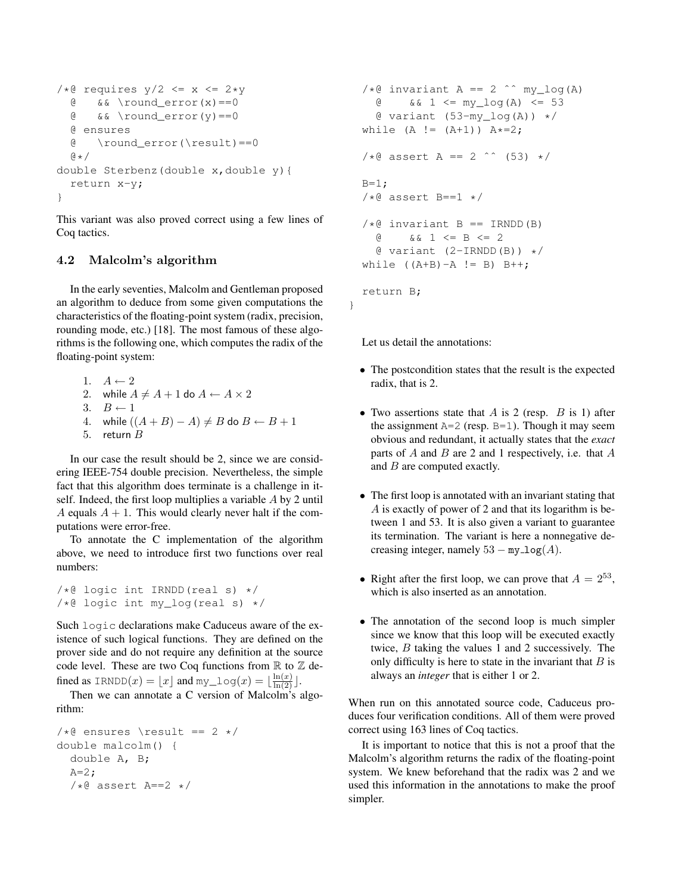```
/*@ requires y/2 \le x \le 2*y<br>
@ && \round error(x)==0
       &\& \round_error(x)==0
  \& & \round error(y)==0
  @ ensures
  \theta \round error(\result)==0
  @*double Sterbenz(double x,double y){
  return x-y;
}
```
This variant was also proved correct using a few lines of Coq tactics.

### 4.2 Malcolm's algorithm

In the early seventies, Malcolm and Gentleman proposed an algorithm to deduce from some given computations the characteristics of the floating-point system (radix, precision, rounding mode, etc.) [18]. The most famous of these algorithms is the following one, which computes the radix of the floating-point system:

1. 
$$
A \leftarrow 2
$$
  
\n2. while  $A \neq A + 1$  do  $A \leftarrow A \times 2$   
\n3.  $B \leftarrow 1$   
\n4. while  $((A + B) - A) \neq B$  do  $B \leftarrow B + 1$   
\n5. return B

In our case the result should be 2, since we are considering IEEE-754 double precision. Nevertheless, the simple fact that this algorithm does terminate is a challenge in itself. Indeed, the first loop multiplies a variable A by 2 until A equals  $A + 1$ . This would clearly never halt if the computations were error-free.

To annotate the C implementation of the algorithm above, we need to introduce first two functions over real numbers:

```
/*@ logic int IRNDD(real s) */
/*@ logic int my_loq(real s) */
```
Such logic declarations make Caduceus aware of the existence of such logical functions. They are defined on the prover side and do not require any definition at the source code level. These are two Coq functions from  $\mathbb R$  to  $\mathbb Z$  defined as  $\text{TRNDD}(x) = \lfloor x \rfloor$  and  $\text{my\_log}(x) = \lfloor \frac{\ln(x)}{\ln(2)} \rfloor$ .

Then we can annotate a C version of Malcolm's algorithm:

```
/*@ ensures \result == 2 */
double malcolm() {
 double A, B;
 A=2:
  /*@ assert A==2 */
```

```
/*@ invariant A == 2 ^^ my_log(A)
  \theta & \theta 1 <= my log(A) <= 53
  \theta variant (53-my_log(A)) \star/
while (A := (A+1)) A*=2;/*@ assert A == 2 ^^ (53) */
B=1;
/*@ assert B==1 *//*@ invariant B == IRNDD(B)
  @ && 1 <= B <= 2
  @ variant (2-IRNDD(B)) */
while ((A+B)-A |= B) B++;
```
return B;

}

Let us detail the annotations:

- The postcondition states that the result is the expected radix, that is 2.
- Two assertions state that  $A$  is 2 (resp.  $B$  is 1) after the assignment  $A=2$  (resp.  $B=1$ ). Though it may seem obvious and redundant, it actually states that the *exact* parts of  $A$  and  $B$  are 2 and 1 respectively, i.e. that  $A$ and *B* are computed exactly.
- The first loop is annotated with an invariant stating that A is exactly of power of 2 and that its logarithm is between 1 and 53. It is also given a variant to guarantee its termination. The variant is here a nonnegative decreasing integer, namely  $53 - my \log(A)$ .
- Right after the first loop, we can prove that  $A = 2^{53}$ , which is also inserted as an annotation.
- The annotation of the second loop is much simpler since we know that this loop will be executed exactly twice, B taking the values 1 and 2 successively. The only difficulty is here to state in the invariant that  $B$  is always an *integer* that is either 1 or 2.

When run on this annotated source code, Caduceus produces four verification conditions. All of them were proved correct using 163 lines of Coq tactics.

It is important to notice that this is not a proof that the Malcolm's algorithm returns the radix of the floating-point system. We knew beforehand that the radix was 2 and we used this information in the annotations to make the proof simpler.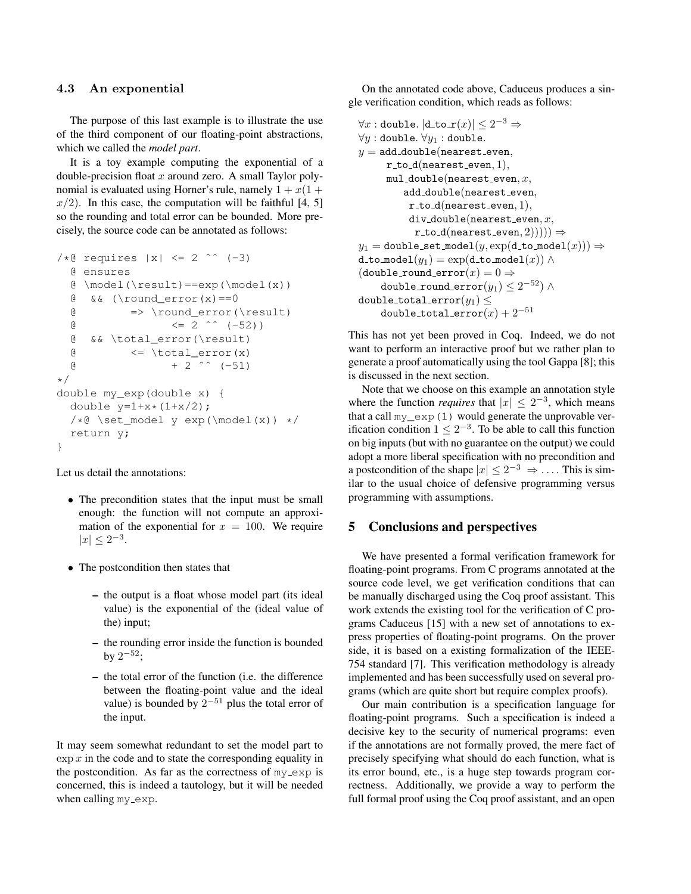#### 4.3 An exponential

The purpose of this last example is to illustrate the use of the third component of our floating-point abstractions, which we called the *model part*.

It is a toy example computing the exponential of a double-precision float  $x$  around zero. A small Taylor polynomial is evaluated using Horner's rule, namely  $1 + x(1 +$  $x/2$ ). In this case, the computation will be faithful [4, 5] so the rounding and total error can be bounded. More precisely, the source code can be annotated as follows:

```
/*@ requires |x| \le 2 ^^ (-3)
  @ ensures
  @ \mod( \result) == exp(\mod( x))\& & (\round_error(x)==0
  \theta => \round_error(\result)
  \epsilon = 2 \cdot 2 \cdot (-52)@ && \total_error(\result)
  \Theta <= \total_error(x)
  \theta + 2 ^ (-51)
*/
double my_exp(double x) {
 double y=1+x*(1+x/2);
  /\star@ \set model y exp(\model(x)) \star/
  return y;
}
```
Let us detail the annotations:

- The precondition states that the input must be small enough: the function will not compute an approximation of the exponential for  $x = 100$ . We require  $|x| \leq 2^{-3}$ .
- The postcondition then states that
	- the output is a float whose model part (its ideal value) is the exponential of the (ideal value of the) input;
	- the rounding error inside the function is bounded by  $2^{-52}$ ;
	- the total error of the function (i.e. the difference between the floating-point value and the ideal value) is bounded by  $2^{-51}$  plus the total error of the input.

It may seem somewhat redundant to set the model part to  $\exp x$  in the code and to state the corresponding equality in the postcondition. As far as the correctness of  $my$ -exp is concerned, this is indeed a tautology, but it will be needed when calling  $my$ <sub>- $exp$ </sub>.

On the annotated code above, Caduceus produces a single verification condition, which reads as follows:

```
\forall x : \mathtt{double}.~ |\mathtt{d\_to\_r}(x)| \leq 2^{-3} \Rightarrow\forall y: double. \forall y_1: double.
y = add_double(nearest_even,
       r_to_d(nearest_even, 1),mul_double(nearest_even, x,add_double(nearest_even,
             r<sub>to</sub>d(nearest<sub>even, 1),</sub>
             div_{\text{-}}double(nearest_{\text{-}}even, x,r_to_d(nearest\_even, 2)))) \Rightarrowy_1 =double_set_model(y, \exp(d\_to\_model(x))) \Rightarrowd_to_model(y_1) = \exp(d\_to\_model(x)) \wedge d(double_round_error(x) = 0 \Rightarrow<code>double_round_error</code>(y_1) \leq 2^{-52}) \wedgedouble_total_error(y_1) \leqdouble_total_error(x) + 2^{-51}
```
This has not yet been proved in Coq. Indeed, we do not want to perform an interactive proof but we rather plan to generate a proof automatically using the tool Gappa [8]; this is discussed in the next section.

Note that we choose on this example an annotation style where the function *requires* that  $|x| \leq 2^{-3}$ , which means that a call  $my$ <sub>exp</sub>(1) would generate the unprovable verification condition  $1 \leq 2^{-3}$ . To be able to call this function on big inputs (but with no guarantee on the output) we could adopt a more liberal specification with no precondition and a postcondition of the shape  $|x| \leq 2^{-3} \Rightarrow \dots$ . This is similar to the usual choice of defensive programming versus programming with assumptions.

### 5 Conclusions and perspectives

We have presented a formal verification framework for floating-point programs. From C programs annotated at the source code level, we get verification conditions that can be manually discharged using the Coq proof assistant. This work extends the existing tool for the verification of C programs Caduceus [15] with a new set of annotations to express properties of floating-point programs. On the prover side, it is based on a existing formalization of the IEEE-754 standard [7]. This verification methodology is already implemented and has been successfully used on several programs (which are quite short but require complex proofs).

Our main contribution is a specification language for floating-point programs. Such a specification is indeed a decisive key to the security of numerical programs: even if the annotations are not formally proved, the mere fact of precisely specifying what should do each function, what is its error bound, etc., is a huge step towards program correctness. Additionally, we provide a way to perform the full formal proof using the Coq proof assistant, and an open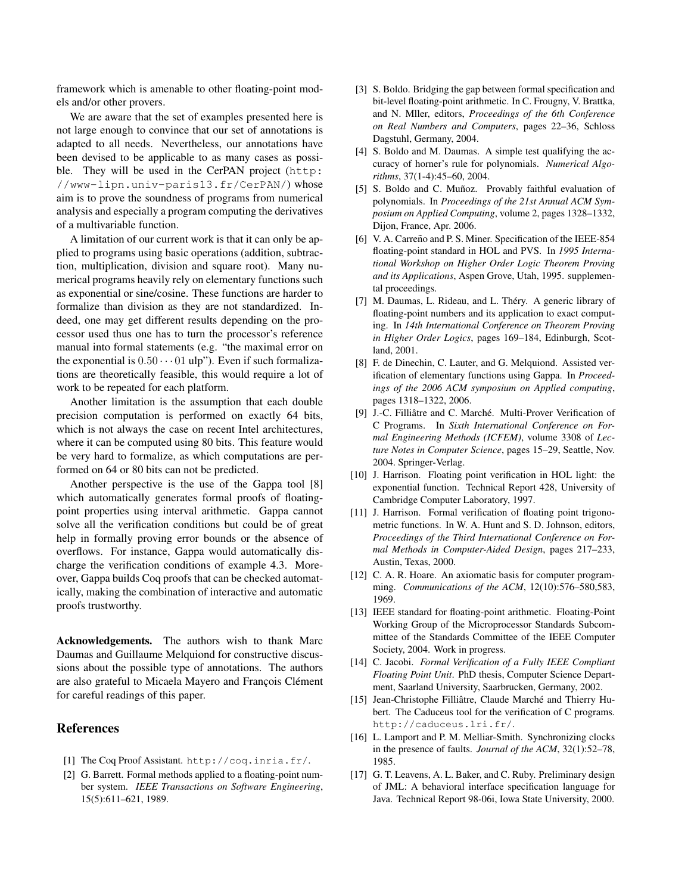framework which is amenable to other floating-point models and/or other provers.

We are aware that the set of examples presented here is not large enough to convince that our set of annotations is adapted to all needs. Nevertheless, our annotations have been devised to be applicable to as many cases as possible. They will be used in the CerPAN project (http: //www-lipn.univ-paris13.fr/CerPAN/) whose aim is to prove the soundness of programs from numerical analysis and especially a program computing the derivatives of a multivariable function.

A limitation of our current work is that it can only be applied to programs using basic operations (addition, subtraction, multiplication, division and square root). Many numerical programs heavily rely on elementary functions such as exponential or sine/cosine. These functions are harder to formalize than division as they are not standardized. Indeed, one may get different results depending on the processor used thus one has to turn the processor's reference manual into formal statements (e.g. "the maximal error on the exponential is  $0.50 \cdots 01$  ulp"). Even if such formalizations are theoretically feasible, this would require a lot of work to be repeated for each platform.

Another limitation is the assumption that each double precision computation is performed on exactly 64 bits, which is not always the case on recent Intel architectures, where it can be computed using 80 bits. This feature would be very hard to formalize, as which computations are performed on 64 or 80 bits can not be predicted.

Another perspective is the use of the Gappa tool [8] which automatically generates formal proofs of floatingpoint properties using interval arithmetic. Gappa cannot solve all the verification conditions but could be of great help in formally proving error bounds or the absence of overflows. For instance, Gappa would automatically discharge the verification conditions of example 4.3. Moreover, Gappa builds Coq proofs that can be checked automatically, making the combination of interactive and automatic proofs trustworthy.

Acknowledgements. The authors wish to thank Marc Daumas and Guillaume Melquiond for constructive discussions about the possible type of annotations. The authors are also grateful to Micaela Mayero and François Clément for careful readings of this paper.

### References

- [1] The Coq Proof Assistant. http://coq.inria.fr/.
- [2] G. Barrett. Formal methods applied to a floating-point number system. *IEEE Transactions on Software Engineering*, 15(5):611–621, 1989.
- [3] S. Boldo. Bridging the gap between formal specification and bit-level floating-point arithmetic. In C. Frougny, V. Brattka, and N. Mller, editors, *Proceedings of the 6th Conference on Real Numbers and Computers*, pages 22–36, Schloss Dagstuhl, Germany, 2004.
- [4] S. Boldo and M. Daumas. A simple test qualifying the accuracy of horner's rule for polynomials. *Numerical Algorithms*, 37(1-4):45–60, 2004.
- [5] S. Boldo and C. Muñoz. Provably faithful evaluation of polynomials. In *Proceedings of the 21st Annual ACM Symposium on Applied Computing*, volume 2, pages 1328–1332, Dijon, France, Apr. 2006.
- [6] V. A. Carreño and P. S. Miner. Specification of the IEEE-854 floating-point standard in HOL and PVS. In *1995 International Workshop on Higher Order Logic Theorem Proving and its Applications*, Aspen Grove, Utah, 1995. supplemental proceedings.
- [7] M. Daumas, L. Rideau, and L. Théry. A generic library of floating-point numbers and its application to exact computing. In *14th International Conference on Theorem Proving in Higher Order Logics*, pages 169–184, Edinburgh, Scotland, 2001.
- [8] F. de Dinechin, C. Lauter, and G. Melquiond. Assisted verification of elementary functions using Gappa. In *Proceedings of the 2006 ACM symposium on Applied computing*, pages 1318–1322, 2006.
- [9] J.-C. Filliâtre and C. Marché. Multi-Prover Verification of C Programs. In *Sixth International Conference on Formal Engineering Methods (ICFEM)*, volume 3308 of *Lecture Notes in Computer Science*, pages 15–29, Seattle, Nov. 2004. Springer-Verlag.
- [10] J. Harrison. Floating point verification in HOL light: the exponential function. Technical Report 428, University of Cambridge Computer Laboratory, 1997.
- [11] J. Harrison. Formal verification of floating point trigonometric functions. In W. A. Hunt and S. D. Johnson, editors, *Proceedings of the Third International Conference on Formal Methods in Computer-Aided Design*, pages 217–233, Austin, Texas, 2000.
- [12] C. A. R. Hoare. An axiomatic basis for computer programming. *Communications of the ACM*, 12(10):576–580,583, 1969.
- [13] IEEE standard for floating-point arithmetic. Floating-Point Working Group of the Microprocessor Standards Subcommittee of the Standards Committee of the IEEE Computer Society, 2004. Work in progress.
- [14] C. Jacobi. *Formal Verification of a Fully IEEE Compliant Floating Point Unit*. PhD thesis, Computer Science Department, Saarland University, Saarbrucken, Germany, 2002.
- [15] Jean-Christophe Filliâtre, Claude Marché and Thierry Hubert. The Caduceus tool for the verification of C programs. http://caduceus.lri.fr/.
- [16] L. Lamport and P. M. Melliar-Smith. Synchronizing clocks in the presence of faults. *Journal of the ACM*, 32(1):52–78, 1985.
- [17] G. T. Leavens, A. L. Baker, and C. Ruby. Preliminary design of JML: A behavioral interface specification language for Java. Technical Report 98-06i, Iowa State University, 2000.